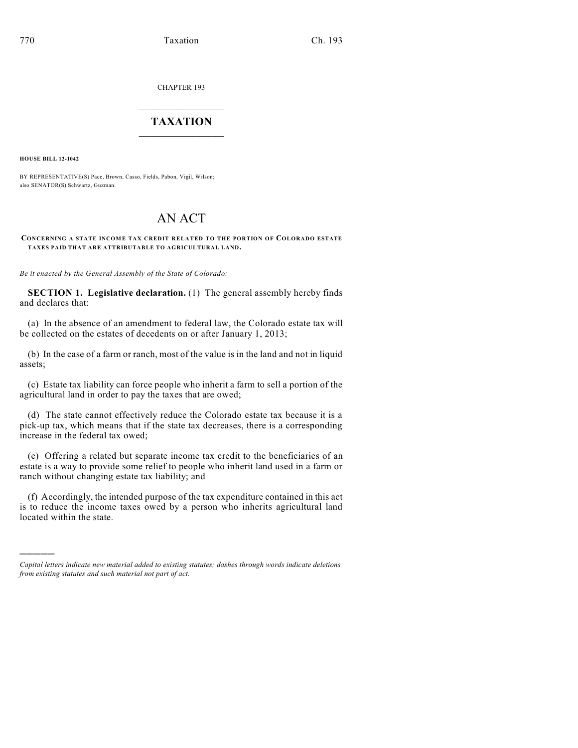CHAPTER 193

## $\overline{\phantom{a}}$  . The set of the set of the set of the set of the set of the set of the set of the set of the set of the set of the set of the set of the set of the set of the set of the set of the set of the set of the set o **TAXATION**  $\_$

**HOUSE BILL 12-1042**

)))))

BY REPRESENTATIVE(S) Pace, Brown, Casso, Fields, Pabon, Vigil, Wilson; also SENATOR(S) Schwartz, Guzman.

## AN ACT

## **CONCERNING A STATE INCOME TAX CREDIT RELATED TO THE PORTION OF COLORADO ESTATE TAXES PAID THAT ARE ATTRIBUTABLE TO AGRICULTURAL LAND.**

*Be it enacted by the General Assembly of the State of Colorado:*

**SECTION 1. Legislative declaration.** (1) The general assembly hereby finds and declares that:

(a) In the absence of an amendment to federal law, the Colorado estate tax will be collected on the estates of decedents on or after January 1, 2013;

(b) In the case of a farm or ranch, most of the value is in the land and not in liquid assets;

(c) Estate tax liability can force people who inherit a farm to sell a portion of the agricultural land in order to pay the taxes that are owed;

(d) The state cannot effectively reduce the Colorado estate tax because it is a pick-up tax, which means that if the state tax decreases, there is a corresponding increase in the federal tax owed;

(e) Offering a related but separate income tax credit to the beneficiaries of an estate is a way to provide some relief to people who inherit land used in a farm or ranch without changing estate tax liability; and

(f) Accordingly, the intended purpose of the tax expenditure contained in this act is to reduce the income taxes owed by a person who inherits agricultural land located within the state.

*Capital letters indicate new material added to existing statutes; dashes through words indicate deletions from existing statutes and such material not part of act.*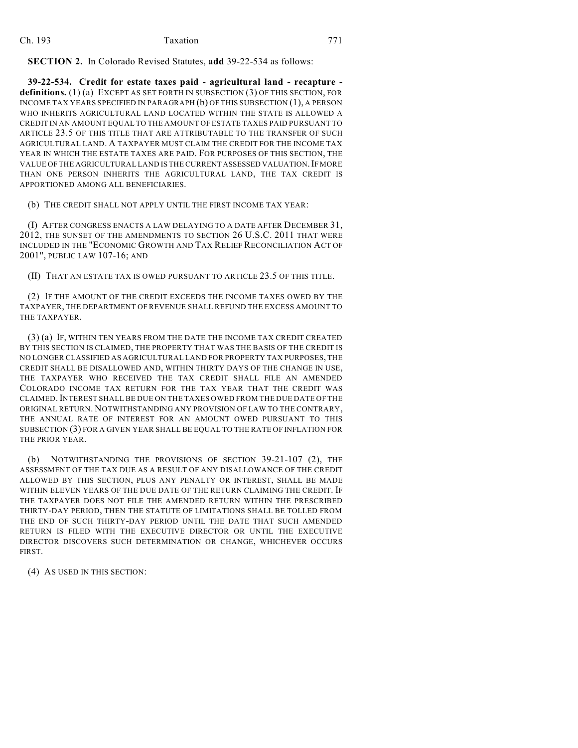**SECTION 2.** In Colorado Revised Statutes, **add** 39-22-534 as follows:

**39-22-534. Credit for estate taxes paid - agricultural land - recapture definitions.** (1) (a) EXCEPT AS SET FORTH IN SUBSECTION (3) OF THIS SECTION, FOR INCOME TAX YEARS SPECIFIED IN PARAGRAPH (b) OF THIS SUBSECTION (1), A PERSON WHO INHERITS AGRICULTURAL LAND LOCATED WITHIN THE STATE IS ALLOWED A CREDIT IN AN AMOUNT EQUAL TO THE AMOUNT OF ESTATE TAXES PAID PURSUANT TO ARTICLE 23.5 OF THIS TITLE THAT ARE ATTRIBUTABLE TO THE TRANSFER OF SUCH AGRICULTURAL LAND. A TAXPAYER MUST CLAIM THE CREDIT FOR THE INCOME TAX YEAR IN WHICH THE ESTATE TAXES ARE PAID. FOR PURPOSES OF THIS SECTION, THE VALUE OF THE AGRICULTURAL LAND IS THE CURRENT ASSESSED VALUATION. IF MORE THAN ONE PERSON INHERITS THE AGRICULTURAL LAND, THE TAX CREDIT IS APPORTIONED AMONG ALL BENEFICIARIES.

(b) THE CREDIT SHALL NOT APPLY UNTIL THE FIRST INCOME TAX YEAR:

(I) AFTER CONGRESS ENACTS A LAW DELAYING TO A DATE AFTER DECEMBER 31, 2012, THE SUNSET OF THE AMENDMENTS TO SECTION 26 U.S.C. 2011 THAT WERE INCLUDED IN THE "ECONOMIC GROWTH AND TAX RELIEF RECONCILIATION ACT OF 2001", PUBLIC LAW 107-16; AND

(II) THAT AN ESTATE TAX IS OWED PURSUANT TO ARTICLE 23.5 OF THIS TITLE.

(2) IF THE AMOUNT OF THE CREDIT EXCEEDS THE INCOME TAXES OWED BY THE TAXPAYER, THE DEPARTMENT OF REVENUE SHALL REFUND THE EXCESS AMOUNT TO THE TAXPAYER.

(3) (a) IF, WITHIN TEN YEARS FROM THE DATE THE INCOME TAX CREDIT CREATED BY THIS SECTION IS CLAIMED, THE PROPERTY THAT WAS THE BASIS OF THE CREDIT IS NO LONGER CLASSIFIED AS AGRICULTURAL LAND FOR PROPERTY TAX PURPOSES, THE CREDIT SHALL BE DISALLOWED AND, WITHIN THIRTY DAYS OF THE CHANGE IN USE, THE TAXPAYER WHO RECEIVED THE TAX CREDIT SHALL FILE AN AMENDED COLORADO INCOME TAX RETURN FOR THE TAX YEAR THAT THE CREDIT WAS CLAIMED.INTEREST SHALL BE DUE ON THE TAXES OWED FROM THE DUE DATE OF THE ORIGINAL RETURN. NOTWITHSTANDING ANY PROVISION OF LAW TO THE CONTRARY, THE ANNUAL RATE OF INTEREST FOR AN AMOUNT OWED PURSUANT TO THIS SUBSECTION (3) FOR A GIVEN YEAR SHALL BE EQUAL TO THE RATE OF INFLATION FOR THE PRIOR YEAR.

(b) NOTWITHSTANDING THE PROVISIONS OF SECTION 39-21-107 (2), THE ASSESSMENT OF THE TAX DUE AS A RESULT OF ANY DISALLOWANCE OF THE CREDIT ALLOWED BY THIS SECTION, PLUS ANY PENALTY OR INTEREST, SHALL BE MADE WITHIN ELEVEN YEARS OF THE DUE DATE OF THE RETURN CLAIMING THE CREDIT. IF THE TAXPAYER DOES NOT FILE THE AMENDED RETURN WITHIN THE PRESCRIBED THIRTY-DAY PERIOD, THEN THE STATUTE OF LIMITATIONS SHALL BE TOLLED FROM THE END OF SUCH THIRTY-DAY PERIOD UNTIL THE DATE THAT SUCH AMENDED RETURN IS FILED WITH THE EXECUTIVE DIRECTOR OR UNTIL THE EXECUTIVE DIRECTOR DISCOVERS SUCH DETERMINATION OR CHANGE, WHICHEVER OCCURS FIRST.

(4) AS USED IN THIS SECTION: